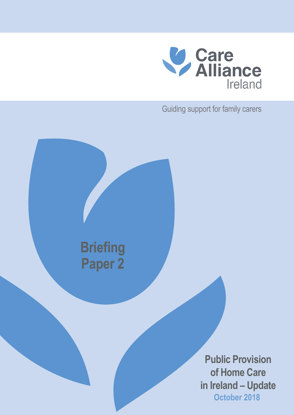

Guiding support for family carers



**October 2018 Public Provision of Home Care in Ireland – Update**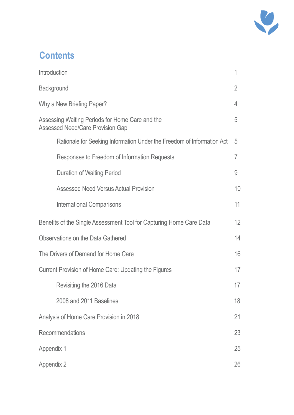

# **Contents**

| Introduction                                                                               | 1              |
|--------------------------------------------------------------------------------------------|----------------|
| <b>Background</b>                                                                          | $\overline{2}$ |
| Why a New Briefing Paper?                                                                  | 4              |
| Assessing Waiting Periods for Home Care and the<br><b>Assessed Need/Care Provision Gap</b> | 5              |
| Rationale for Seeking Information Under the Freedom of Information Act                     | 5              |
| Responses to Freedom of Information Requests                                               | 7              |
| <b>Duration of Waiting Period</b>                                                          | 9              |
| <b>Assessed Need Versus Actual Provision</b>                                               | 10             |
| <b>International Comparisons</b>                                                           | 11             |
| Benefits of the Single Assessment Tool for Capturing Home Care Data                        | 12             |
| <b>Observations on the Data Gathered</b>                                                   | 14             |
| The Drivers of Demand for Home Care                                                        | 16             |
| Current Provision of Home Care: Updating the Figures                                       | 17             |
| Revisiting the 2016 Data                                                                   | 17             |
| 2008 and 2011 Baselines                                                                    | 18             |
| Analysis of Home Care Provision in 2018                                                    | 21             |
| Recommendations                                                                            | 23             |
| Appendix 1                                                                                 | 25             |
| Appendix 2                                                                                 | 26             |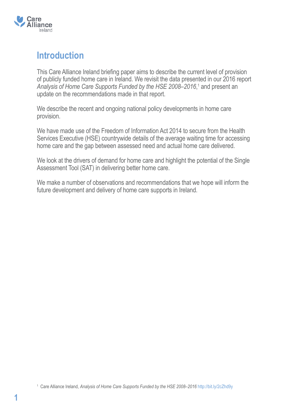

## **Introduction**

This Care Alliance Ireland briefing paper aims to describe the current level of provision of publicly funded home care in Ireland. We revisit the data presented in our 2016 report *Analysis of Home Care Supports Funded by the HSE 2008–2016*, 1 and present an update on the recommendations made in that report.

We describe the recent and ongoing national policy developments in home care provision.

We have made use of the Freedom of Information Act 2014 to secure from the Health Services Executive (HSE) countrywide details of the average waiting time for accessing home care and the gap between assessed need and actual home care delivered.

We look at the drivers of demand for home care and highlight the potential of the Single Assessment Tool (SAT) in delivering better home care.

We make a number of observations and recommendations that we hope will inform the future development and delivery of home care supports in Ireland.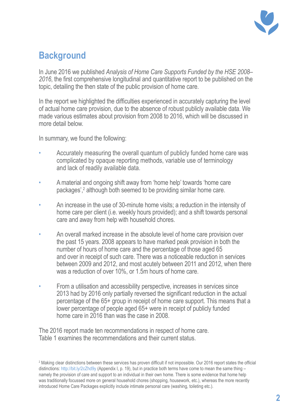

# **Background**

In June 2016 we published *Analysis of Home Care Supports Funded by the HSE 2008– 2016*, the first comprehensive longitudinal and quantitative report to be published on the topic, detailing the then state of the public provision of home care.

In the report we highlighted the difficulties experienced in accurately capturing the level of actual home care provision, due to the absence of robust publicly available data. We made various estimates about provision from 2008 to 2016, which will be discussed in more detail below.

In summary, we found the following:

- Accurately measuring the overall quantum of publicly funded home care was complicated by opaque reporting methods, variable use of terminology and lack of readily available data.
- A material and ongoing shift away from 'home help' towards 'home care packages',<sup>2</sup> although both seemed to be providing similar home care.
- An increase in the use of 30-minute home visits; a reduction in the intensity of home care per client (i.e. weekly hours provided); and a shift towards personal care and away from help with household chores.
- An overall marked increase in the absolute level of home care provision over the past 15 years. 2008 appears to have marked peak provision in both the number of hours of home care and the percentage of those aged 65 and over in receipt of such care. There was a noticeable reduction in services between 2009 and 2012, and most acutely between 2011 and 2012, when there was a reduction of over 10%, or 1.5m hours of home care.
- From a utilisation and accessibility perspective, increases in services since 2013 had by 2016 only partially reversed the significant reduction in the actual percentage of the 65+ group in receipt of home care support. This means that a lower percentage of people aged 65+ were in receipt of publicly funded home care in 2016 than was the case in 2008.

The 2016 report made ten recommendations in respect of home care. Table 1 examines the recommendations and their current status.

 $^{\rm 2}$  Making clear distinctions between these services has proven difficult if not impossible. Our 2016 report states the official distinctions: http://bit.ly/2cZhd9y (Appendix I, p. 19), but in practice both terms have come to mean the same thing – namely the provision of care and support to an individual in their own home. There is some evidence that home help was traditionally focussed more on general household chores (shopping, housework, etc.), whereas the more recently introduced Home Care Packages explicitly include intimate personal care (washing, toileting etc.).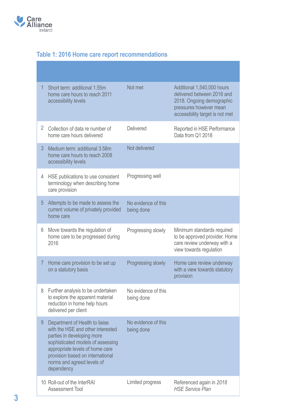

## **Table 1: 2016 Home care report recommendations**

| $\mathbf{1}$ | Short term: additional 1.55m<br>home care hours to reach 2011<br>accessibility levels                                                                                                                                                                     | Not met                           | Additional 1,540,000 hours<br>delivered between 2016 and<br>2018. Ongoing demographic<br>pressures however mean<br>accessibility target is not met |
|--------------|-----------------------------------------------------------------------------------------------------------------------------------------------------------------------------------------------------------------------------------------------------------|-----------------------------------|----------------------------------------------------------------------------------------------------------------------------------------------------|
| 2            | Collection of data re number of<br>home care hours delivered                                                                                                                                                                                              | <b>Delivered</b>                  | Reported in HSE Performance<br>Data from Q1 2018                                                                                                   |
| 3            | Medium term: additional 3.58m<br>home care hours to reach 2008<br>accessibility levels                                                                                                                                                                    | Not delivered                     |                                                                                                                                                    |
| 4            | HSE publications to use consistent<br>terminology when describing home<br>care provision                                                                                                                                                                  | Progressing well                  |                                                                                                                                                    |
| 5            | Attempts to be made to assess the<br>current volume of privately provided<br>home care                                                                                                                                                                    | No evidence of this<br>being done |                                                                                                                                                    |
| 6            | Move towards the regulation of<br>home care to be progressed during<br>2016                                                                                                                                                                               | Progressing slowly                | Minimum standards required<br>to be approved provider. Home<br>care review underway with a<br>view towards regulation                              |
| 7            | Home care provision to be set up<br>on a statutory basis                                                                                                                                                                                                  | Progressing slowly                | Home care review underway<br>with a view towards statutory<br>provision                                                                            |
|              | 8 Further analysis to be undertaken<br>to explore the apparent material<br>reduction in home help hours<br>delivered per client                                                                                                                           | No evidence of this<br>being done |                                                                                                                                                    |
| 9            | Department of Health to liaise<br>with the HSE and other interested<br>parties in developing more<br>sophisticated models of assessing<br>appropriate levels of home care<br>provision based on international<br>norms and agreed levels of<br>dependency | No evidence of this<br>being done |                                                                                                                                                    |
|              | 10 Roll-out of the InterRAI<br><b>Assessment Tool</b>                                                                                                                                                                                                     | Limited progress                  | Referenced again in 2018<br><b>HSE Service Plan</b>                                                                                                |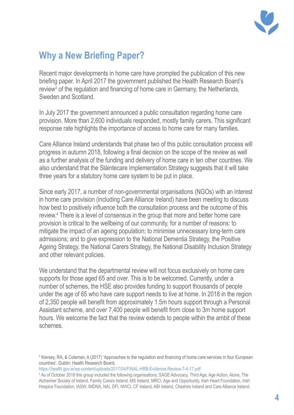

# **Why a New Briefing Paper?**

Recent major developments in home care have prompted the publication of this new briefing paper. In April 2017 the government published the Health Research Board's review<sup>3</sup> of the regulation and financing of home care in Germany, the Netherlands, Sweden and Scotland.

In July 2017 the government announced a public consultation regarding home care provision. More than 2,600 individuals responded, mostly family carers. This significant response rate highlights the importance of access to home care for many families.

Care Alliance Ireland understands that phase two of this public consultation process will progress in autumn 2018, following a final decision on the scope of the review as well as a further analysis of the funding and delivery of home care in ten other countries. We also understand that the Sláintecare Implementation Strategy suggests that it will take three years for a statutory home care system to be put in place.

Since early 2017, a number of non-governmental organisations (NGOs) with an interest in home care provision (including Care Alliance Ireland) have been meeting to discuss how best to positively influence both the consultation process and the outcome of this review.4 There is a level of consensus in the group that more and better home care provision is critical to the wellbeing of our community, for a number of reasons: to mitigate the impact of an ageing population; to minimise unnecessary long-term care admissions; and to give expression to the National Dementia Strategy, the Positive Ageing Strategy, the National Carers Strategy, the National Disability Inclusion Strategy and other relevant policies.

We understand that the departmental review will not focus exclusively on home care supports for those aged 65 and over. This is to be welcomed. Currently, under a number of schemes, the HSE also provides funding to support thousands of people under the age of 65 who have care support needs to live at home. In 2018 in the region of 2,350 people will benefit from approximately 1.5m hours support through a Personal Assistant scheme, and over 7,400 people will benefit from close to 3m home support hours. We welcome the fact that the review extends to people within the ambit of these schemes.

<sup>3</sup> Kiersey, RA, & Coleman, A (2017) 'Approaches to the regulation and financing of home care services in four European countries'. Dublin: Health Research Board,

https://health.gov.ie/wp-content/uploads/2017/04/FINAL-HRB-Evidence-Review-7-4-17.pdf

<sup>4</sup> As of October 2018 this group included the following organisations; SAGE Advocacy, Third Age, Age Action, Alone, The Alzheimer Society of Ireland, Family Carers Ireland, MS Ireland, MRCI, Age and Opportunity, Irish Heart Foundation, Irish Hospice Foundation, IASW, IMDNA, NAI, DFI, NWCI, CF Ireland, ABI Ireland, Cheshire Ireland and Care Alliance Ireland.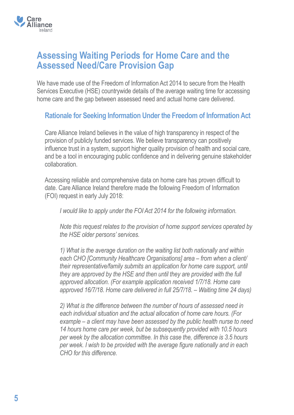

## **Assessing Waiting Periods for Home Care and the Assessed Need/Care Provision Gap**

We have made use of the Freedom of Information Act 2014 to secure from the Health Services Executive (HSE) countrywide details of the average waiting time for accessing home care and the gap between assessed need and actual home care delivered.

#### **Rationale for Seeking Information Under the Freedom of Information Act**

Care Alliance Ireland believes in the value of high transparency in respect of the provision of publicly funded services. We believe transparency can positively influence trust in a system, support higher quality provision of health and social care, and be a tool in encouraging public confidence and in delivering genuine stakeholder collaboration.

Accessing reliable and comprehensive data on home care has proven difficult to date. Care Alliance Ireland therefore made the following Freedom of Information (FOI) request in early July 2018:

*I would like to apply under the FOI Act 2014 for the following information.*

*Note this request relates to the provision of home support services operated by the HSE older persons' services.*

*1) What is the average duration on the waiting list both nationally and within each CHO [Community Healthcare Organisations] area – from when a client/ their representative/family submits an application for home care support, until they are approved by the HSE and then until they are provided with the full approved allocation. (For example application received 1/7/18. Home care approved 16/7/18. Home care delivered in full 25/7/18. – Waiting time 24 days)*

*2) What is the difference between the number of hours of assessed need in each individual situation and the actual allocation of home care hours. (For example – a client may have been assessed by the public health nurse to need 14 hours home care per week, but be subsequently provided with 10.5 hours per week by the allocation committee. In this case the, difference is 3.5 hours per week. I wish to be provided with the average figure nationally and in each CHO for this difference.*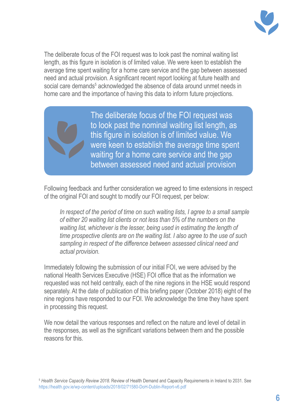

The deliberate focus of the FOI request was to look past the nominal waiting list length, as this figure in isolation is of limited value. We were keen to establish the average time spent waiting for a home care service and the gap between assessed need and actual provision. A significant recent report looking at future health and social care demands<sup>5</sup> acknowledged the absence of data around unmet needs in home care and the importance of having this data to inform future projections.

> The deliberate focus of the FOI request was to look past the nominal waiting list length, as this figure in isolation is of limited value. We were keen to establish the average time spent waiting for a home care service and the gap between assessed need and actual provision

Following feedback and further consideration we agreed to time extensions in respect of the original FOI and sought to modify our FOI request, per below:

In respect of the period of time on such waiting lists, I agree to a small sample *of either 20 waiting list clients or not less than 5% of the numbers on the waiting list, whichever is the lesser, being used in estimating the length of time prospective clients are on the waiting list. I also agree to the use of such sampling in respect of the difference between assessed clinical need and actual provision.*

Immediately following the submission of our initial FOI, we were advised by the national Health Services Executive (HSE) FOI office that as the information we requested was not held centrally, each of the nine regions in the HSE would respond separately. At the date of publication of this briefing paper (October 2018) eight of the nine regions have responded to our FOI. We acknowledge the time they have spent in processing this request.

We now detail the various responses and reflect on the nature and level of detail in the responses, as well as the significant variations between them and the possible reasons for this.

<sup>5</sup> *Health Service Capacity Review 2018*. Review of Health Demand and Capacity Requirements in Ireland to 2031. See https://health.gov.ie/wp-content/uploads/2018/02/71580-DoH-Dublin-Report-v6.pdf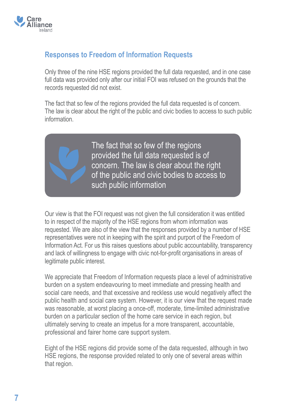

### **Responses to Freedom of Information Requests**

Only three of the nine HSE regions provided the full data requested, and in one case full data was provided only after our initial FOI was refused on the grounds that the records requested did not exist.

The fact that so few of the regions provided the full data requested is of concern. The law is clear about the right of the public and civic bodies to access to such public information.



The fact that so few of the regions provided the full data requested is of concern. The law is clear about the right of the public and civic bodies to access to such public information

Our view is that the FOI request was not given the full consideration it was entitled to in respect of the majority of the HSE regions from whom information was requested. We are also of the view that the responses provided by a number of HSE representatives were not in keeping with the spirit and purport of the Freedom of Information Act. For us this raises questions about public accountability, transparency and lack of willingness to engage with civic not-for-profit organisations in areas of legitimate public interest.

We appreciate that Freedom of Information requests place a level of administrative burden on a system endeavouring to meet immediate and pressing health and social care needs, and that excessive and reckless use would negatively affect the public health and social care system. However, it is our view that the request made was reasonable, at worst placing a once-off, moderate, time-limited administrative burden on a particular section of the home care service in each region, but ultimately serving to create an impetus for a more transparent, accountable, professional and fairer home care support system.

Eight of the HSE regions did provide some of the data requested, although in two HSE regions, the response provided related to only one of several areas within that region.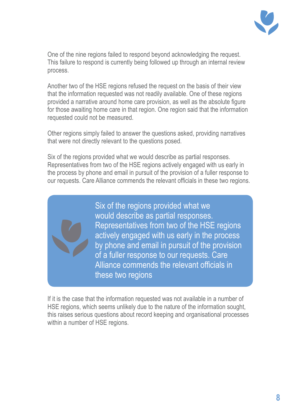

One of the nine regions failed to respond beyond acknowledging the request. This failure to respond is currently being followed up through an internal review process.

Another two of the HSE regions refused the request on the basis of their view that the information requested was not readily available. One of these regions provided a narrative around home care provision, as well as the absolute figure for those awaiting home care in that region. One region said that the information requested could not be measured.

Other regions simply failed to answer the questions asked, providing narratives that were not directly relevant to the questions posed.

Six of the regions provided what we would describe as partial responses. Representatives from two of the HSE regions actively engaged with us early in the process by phone and email in pursuit of the provision of a fuller response to our requests. Care Alliance commends the relevant officials in these two regions.



Six of the regions provided what we would describe as partial responses. Representatives from two of the HSE regions actively engaged with us early in the process by phone and email in pursuit of the provision of a fuller response to our requests. Care Alliance commends the relevant officials in these two regions

If it is the case that the information requested was not available in a number of HSE regions, which seems unlikely due to the nature of the information sought, this raises serious questions about record keeping and organisational processes within a number of HSE regions.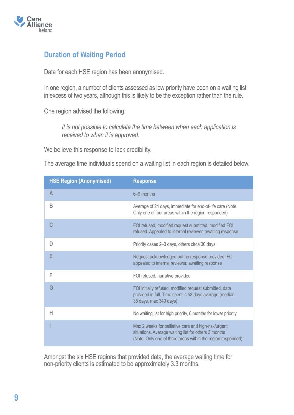

### **Duration of Waiting Period**

Data for each HSE region has been anonymised.

In one region, a number of clients assessed as low priority have been on a waiting list in excess of two years, although this is likely to be the exception rather than the rule.

One region advised the following:

*It is not possible to calculate the time between when each application is received to when it is approved.*

We believe this response to lack credibility.

The average time individuals spend on a waiting list in each region is detailed below.

| <b>HSE Region (Anonymised)</b> | <b>Response</b>                                                                                                                                                             |
|--------------------------------|-----------------------------------------------------------------------------------------------------------------------------------------------------------------------------|
| $\overline{A}$                 | 6-9 months                                                                                                                                                                  |
| B                              | Average of 24 days, immediate for end-of-life care (Note:<br>Only one of four areas within the region responded)                                                            |
| C                              | FOI refused, modified request submitted, modified FOI<br>refused. Appealed to internal reviewer, awaiting response                                                          |
| D                              | Priority cases 2-3 days, others circa 30 days                                                                                                                               |
| E                              | Request acknowledged but no response provided. FOI<br>appealed to internal reviewer, awaiting response                                                                      |
| F                              | FOI refused, narrative provided                                                                                                                                             |
| G                              | FOI initially refused, modified request submitted, data<br>provided in full. Time spent is 53 days average (median<br>35 days, max 340 days)                                |
| Н                              | No waiting list for high priority, 6 months for lower priority                                                                                                              |
|                                | Max 2 weeks for palliative care and high-risk/urgent<br>situations. Average waiting list for others 3 months<br>(Note: Only one of three areas within the region responded) |

Amongst the six HSE regions that provided data, the average waiting time for non-priority clients is estimated to be approximately 3.3 months.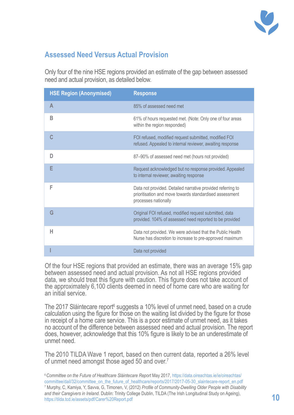

## **Assessed Need Versus Actual Provision**

Only four of the nine HSE regions provided an estimate of the gap between assessed need and actual provision, as detailed below.

| <b>HSE Region (Anonymised)</b> | <b>Response</b>                                                                                                                                |
|--------------------------------|------------------------------------------------------------------------------------------------------------------------------------------------|
| A                              | 85% of assessed need met                                                                                                                       |
| B                              | 61% of hours requested met. (Note: Only one of four areas<br>within the region responded)                                                      |
|                                | FOI refused, modified request submitted, modified FOI<br>refused. Appealed to internal reviewer, awaiting response                             |
| D                              | 87-90% of assessed need met (hours not provided)                                                                                               |
|                                | Request acknowledged but no response provided. Appealed<br>to internal reviewer, awaiting response                                             |
| F                              | Data not provided. Detailed narrative provided referring to<br>prioritisation and move towards standardised assessment<br>processes nationally |
| G                              | Original FOI refused, modified request submitted, data<br>provided. 104% of assessed need reported to be provided                              |
| Н                              | Data not provided. We were advised that the Public Health<br>Nurse has discretion to increase to pre-approved maximum                          |
|                                | Data not provided                                                                                                                              |

Of the four HSE regions that provided an estimate, there was an average 15% gap between assessed need and actual provision. As not all HSE regions provided data, we should treat this figure with caution. This figure does not take account of the approximately 6,100 clients deemed in need of home care who are waiting for an initial service.

The 2017 Sláintecare report<sup>6</sup> suggests a 10% level of unmet need, based on a crude calculation using the figure for those on the waiting list divided by the figure for those in receipt of a home care service. This is a poor estimate of unmet need, as it takes no account of the difference between assessed need and actual provision. The report does, however, acknowledge that this 10% figure is likely to be an underestimate of unmet need.

The 2010 TILDA Wave 1 report, based on then current data, reported a 26% level of unmet need amongst those aged 50 and over.7

<sup>6</sup>*Committee on the Future of Healthcare Sláintecare Report* May 2017, https://data.oireachtas.ie/ie/oireachtas/ committee/dail/32/committee\_on\_the\_future\_of\_healthcare/reports/2017/2017-05-30\_slaintecare-report\_en.pdf 7 Murphy, C, Kamiya, Y, Savva, G, Timonen, V, (2012) *Profile of Community-Dwelling Older People with Disability and their Caregivers in Ireland*. Dublin: Trinity College Dublin, TILDA (The Irish Longitudinal Study on Ageing), https://tilda.tcd.ie/assets/pdf/Carer%20Report.pdf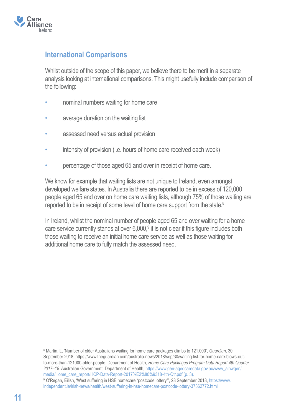

### **International Comparisons**

Whilst outside of the scope of this paper, we believe there to be merit in a separate analysis looking at international comparisons. This might usefully include comparison of the following:

- nominal numbers waiting for home care
- average duration on the waiting list
- assessed need versus actual provision
- intensity of provision (i.e. hours of home care received each week)
- percentage of those aged 65 and over in receipt of home care.

We know for example that waiting lists are not unique to Ireland, even amongst developed welfare states. In Australia there are reported to be in excess of 120,000 people aged 65 and over on home care waiting lists, although 75% of those waiting are reported to be in receipt of some level of home care support from the state.<sup>8</sup>

In Ireland, whilst the nominal number of people aged 65 and over waiting for a home care service currently stands at over  $6,000$ ,<sup>9</sup> it is not clear if this figure includes both those waiting to receive an initial home care service as well as those waiting for additional home care to fully match the assessed need.

8 Martin, L, 'Number of older Australians waiting for home care packages climbs to 121,000', *Guardian*, 30 September 2018, https://www.theguardian.com/australia-news/2018/sep/30/waiting-list-for-home-care-blows-outto-more-than-121000-older-people. Department of Health, *Home Care Packages Program Data Report 4th Quarter 2017–18*. Australian Government, Department of Health, https://www.gen-agedcaredata.gov.au/www\_aihwgen/ media/Home\_care\_report/HCP-Data-Report-2017%E2%80%9318-4th-Qtr.pdf (p. 3). 9 O'Regan, Eilish, 'West suffering in HSE homecare "postcode lottery"', 28 September 2018, https://www. independent.ie/irish-news/health/west-suffering-in-hse-homecare-postcode-lottery-37362772.html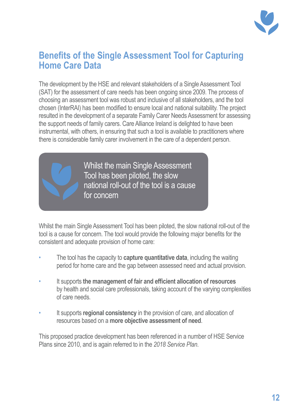

## **Benefits of the Single Assessment Tool for Capturing Home Care Data**

The development by the HSE and relevant stakeholders of a Single Assessment Tool (SAT) for the assessment of care needs has been ongoing since 2009. The process of choosing an assessment tool was robust and inclusive of all stakeholders, and the tool chosen (InterRAI) has been modified to ensure local and national suitability. The project resulted in the development of a separate Family Carer Needs Assessment for assessing the support needs of family carers. Care Alliance Ireland is delighted to have been instrumental, with others, in ensuring that such a tool is available to practitioners where there is considerable family carer involvement in the care of a dependent person.



Whilst the main Single Assessment Tool has been piloted, the slow national roll-out of the tool is a cause for concern

Whilst the main Single Assessment Tool has been piloted, the slow national roll-out of the tool is a cause for concern. The tool would provide the following major benefits for the consistent and adequate provision of home care:

- The tool has the capacity to **capture quantitative data**, including the waiting period for home care and the gap between assessed need and actual provision.
- It supports **the management of fair and efficient allocation of resources** by health and social care professionals, taking account of the varying complexities of care needs.
- It supports **regional consistency** in the provision of care, and allocation of resources based on a **more objective assessment of need**.

This proposed practice development has been referenced in a number of HSE Service Plans since 2010, and is again referred to in the *2018 Service Plan*.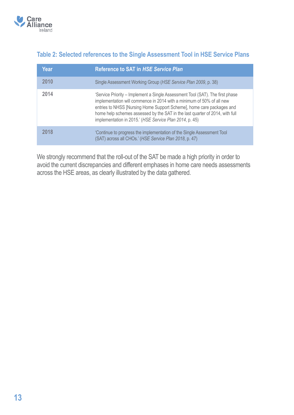

### **Table 2: Selected references to the Single Assessment Tool in HSE Service Plans**

| Year | <b>Reference to SAT in HSE Service Plan</b>                                                                                                                                                                                                                                                                                                                                |
|------|----------------------------------------------------------------------------------------------------------------------------------------------------------------------------------------------------------------------------------------------------------------------------------------------------------------------------------------------------------------------------|
| 2010 | Single Assessment Working Group (HSE Service Plan 2009, p. 38)                                                                                                                                                                                                                                                                                                             |
| 2014 | 'Service Priority – Implement a Single Assessment Tool (SAT). The first phase<br>implementation will commence in 2014 with a minimum of 50% of all new<br>entries to NHSS [Nursing Home Support Scheme], home care packages and<br>home help schemes assessed by the SAT in the last quarter of 2014, with full<br>implementation in 2015.' (HSE Service Plan 2014, p. 45) |
| 2018 | 'Continue to progress the implementation of the Single Assessment Tool<br>(SAT) across all CHOs.' (HSE Service Plan 2018, p. 47)                                                                                                                                                                                                                                           |

We strongly recommend that the roll-out of the SAT be made a high priority in order to avoid the current discrepancies and different emphases in home care needs assessments across the HSE areas, as clearly illustrated by the data gathered.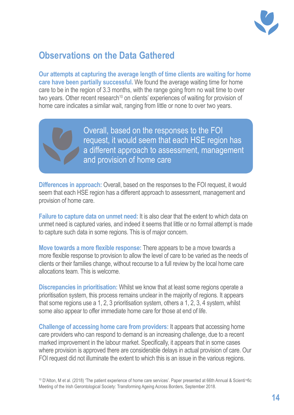

# **Observations on the Data Gathered**

**Our attempts at capturing the average length of time clients are waiting for home care have been partially successful.** We found the average waiting time for home care to be in the region of 3.3 months, with the range going from no wait time to over two years. Other recent research<sup>10</sup> on clients' experiences of waiting for provision of home care indicates a similar wait, ranging from little or none to over two years.

> Overall, based on the responses to the FOI request, it would seem that each HSE region has a different approach to assessment, management and provision of home care

**Differences in approach:** Overall, based on the responses to the FOI request, it would seem that each HSE region has a different approach to assessment, management and provision of home care.

**Failure to capture data on unmet need:** It is also clear that the extent to which data on unmet need is captured varies, and indeed it seems that little or no formal attempt is made to capture such data in some regions. This is of major concern.

**Move towards a more flexible response:** There appears to be a move towards a more flexible response to provision to allow the level of care to be varied as the needs of clients or their families change, without recourse to a full review by the local home care allocations team. This is welcome.

**Discrepancies in prioritisation:** Whilst we know that at least some regions operate a prioritisation system, this process remains unclear in the majority of regions. It appears that some regions use a 1, 2, 3 prioritisation system, others a 1, 2, 3, 4 system, whilst some also appear to offer immediate home care for those at end of life.

**Challenge of accessing home care from providers:** It appears that accessing home care providers who can respond to demand is an increasing challenge, due to a recent marked improvement in the labour market. Specifically, it appears that in some cases where provision is approved there are considerable delays in actual provision of care. Our FOI request did not illuminate the extent to which this is an issue in the various regions.

10 D'Alton, M et al. (2018) 'The patient experience of home care services'. Paper presented at 66th Annual & Scienti¬fic Meeting of the Irish Gerontological Society: Transforming Ageing Across Borders, September 2018.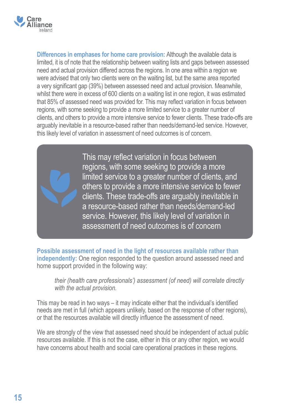

**Differences in emphases for home care provision:** Although the available data is limited, it is of note that the relationship between waiting lists and gaps between assessed need and actual provision differed across the regions. In one area within a region we were advised that only two clients were on the waiting list, but the same area reported a very significant gap (39%) between assessed need and actual provision. Meanwhile, whilst there were in excess of 600 clients on a waiting list in one region, it was estimated that 85% of assessed need was provided for. This may reflect variation in focus between regions, with some seeking to provide a more limited service to a greater number of clients, and others to provide a more intensive service to fewer clients. These trade-offs are arguably inevitable in a resource-based rather than needs/demand-led service. However, this likely level of variation in assessment of need outcomes is of concern.

> This may reflect variation in focus between regions, with some seeking to provide a more limited service to a greater number of clients, and others to provide a more intensive service to fewer clients. These trade-offs are arguably inevitable in a resource-based rather than needs/demand-led service. However, this likely level of variation in assessment of need outcomes is of concern

**Possible assessment of need in the light of resources available rather than independently:** One region responded to the question around assessed need and home support provided in the following way:

*their (health care professionals') assessment (of need) will correlate directly with the actual provision.*

This may be read in two ways – it may indicate either that the individual's identified needs are met in full (which appears unlikely, based on the response of other regions), or that the resources available will directly influence the assessment of need.

We are strongly of the view that assessed need should be independent of actual public resources available. If this is not the case, either in this or any other region, we would have concerns about health and social care operational practices in these regions.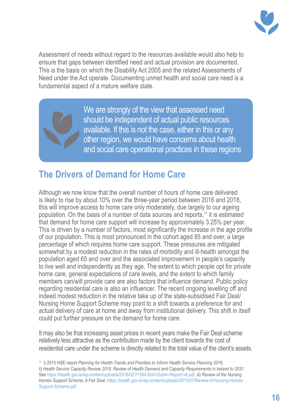

Assessment of needs without regard to the resources available would also help to ensure that gaps between identified need and actual provision are documented. This is the basis on which the Disability Act 2005 and the related Assessments of Need under the Act operate. Documenting unmet health and social care need is a fundamental aspect of a mature welfare state.

> We are strongly of the view that assessed need should be independent of actual public resources available. If this is not the case, either in this or any other region, we would have concerns about health and social care operational practices in these regions

## **The Drivers of Demand for Home Care**

Although we now know that the overall number of hours of home care delivered is likely to rise by about 10% over the three-year period between 2016 and 2018, this will improve access to home care only moderately, due largely to our ageing population. On the basis of a number of data sources and reports,11 it is estimated that demand for home care support will increase by approximately 3.25% per year. This is driven by a number of factors, most significantly the increase in the age profile of our population. This is most pronounced in the cohort aged 85 and over, a large percentage of which requires home care support. These pressures are mitigated somewhat by a modest reduction in the rates of morbidity and ill-health amongst the population aged 65 and over and the associated improvement in people's capacity to live well and independently as they age. The extent to which people opt for private home care, general expectations of care levels, and the extent to which family members can/will provide care are also factors that influence demand. Public policy regarding residential care is also an influencer. The recent ongoing levelling off and indeed modest reduction in the relative take up of the state-subsidised Fair Deal/ Nursing Home Support Scheme may point to a shift towards a preference for and actual delivery of care at home and away from institutional delivery. This shift in itself could put further pressure on the demand for home care.

It may also be that increasing asset prices in recent years make the Fair Deal scheme relatively less attractive as the contribution made by the client towards the cost of residential care under the scheme is directly related to the total value of the client's assets.

<sup>11</sup> i) 2015 HSE report *Planning for Health Trends and Priorities to Inform Health Service Planning 2016*, ii) *Health Service Capacity Review 2018. Review of Health Demand and Capacity Requirements in Ireland to 2031*. See https://health.gov.ie/wp-content/uploads/2018/02/71580-DoH-Dublin-Report-v6.pdf, iii) *Review of the Nursing Homes Support Scheme, A Fair Deal*, https://health.gov.ie/wp-content/uploads/2015/07/Review-of-Nursing-Homes-Support-Scheme.pdf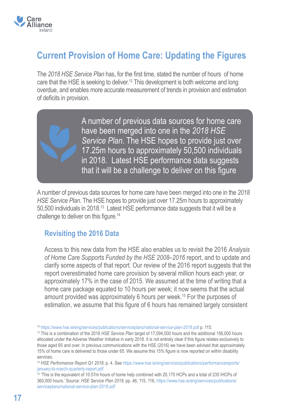

# **Current Provision of Home Care: Updating the Figures**

The *2018 HSE Service Plan* has, for the first time, stated the number of hours of home care that the HSE is seeking to deliver.<sup>12</sup> This development is both welcome and long overdue, and enables more accurate measurement of trends in provision and estimation of deficits in provision.

> A number of previous data sources for home care have been merged into one in the *2018 HSE Service Plan*. The HSE hopes to provide just over 17.25m hours to approximately 50,500 individuals in 2018. Latest HSE performance data suggests that it will be a challenge to deliver on this figure

A number of previous data sources for home care have been merged into one in the *2018 HSE Service Plan*. The HSE hopes to provide just over 17.25m hours to approximately 50,500 individuals in 2018.<sup>13</sup> Latest HSE performance data suggests that it will be a challenge to deliver on this figure.14

#### **Revisiting the 2016 Data**

Access to this new data from the HSE also enables us to revisit the 2016 *Analysis of Home Care Supports Funded by the HSE 2008–2016* report, and to update and clarify some aspects of that report. Our review of the 2016 report suggests that the report overestimated home care provision by several million hours each year, or approximately 17% in the case of 2015. We assumed at the time of writing that a home care package equated to 10 hours per week; it now seems that the actual amount provided was approximately 6 hours per week.15 For the purposes of estimation, we assume that this figure of 6 hours has remained largely consistent

<sup>12</sup> https://www.hse.ie/eng/services/publications/serviceplans/national-service-plan-2018.pdf p. 115.

<sup>13</sup> This is a combination of the 2018 *HSE Service Plan* target of 17,094,000 hours and the additional 156,000 hours allocated under the Adverse Weather Initiative in early 2018. It is not entirely clear if this figure relates exclusively to those aged 65 and over. In previous communications with the HSE (2016) we have been advised that approximately 15% of home care is delivered to those under 65. We assume this 15% figure is now reported on within disability services.

<sup>14</sup> *HSE Performance Report Q1 2018*, p. 4. See https://www.hse.ie/eng/services/publications/performancereports/ january-to-march-quarterly-report.pdf

<sup>15</sup> 'This is the equivalent of 10.57m hours of home help combined with 20,175 HCPs and a total of 235 IHCPs of 360,000 hours.' Source: *HSE Service Plan 2018*, pp. 46, 115, 116, https://www.hse.ie/eng/services/publications/ serviceplans/national-service-plan-2018.pdf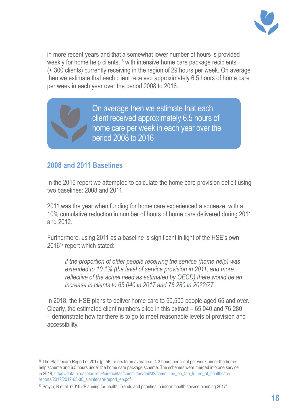

in more recent years and that a somewhat lower number of hours is provided weekly for home help clients,<sup>16</sup> with intensive home care package recipients (< 300 clients) currently receiving in the region of 29 hours per week. On average then we estimate that each client received approximately 6.5 hours of home care per week in each year over the period 2008 to 2016.

> On average then we estimate that each client received approximately 6.5 hours of home care per week in each year over the period 2008 to 2016

#### **2008 and 2011 Baselines**

In the 2016 report we attempted to calculate the home care provision deficit using two baselines: 2008 and 2011.

2011 was the year when funding for home care experienced a squeeze, with a 10% cumulative reduction in number of hours of home care delivered during 2011 and 2012.

Furthermore, using 2011 as a baseline is significant in light of the HSE's own 201617 report which stated:

*if the proportion of older people receiving the service (home help) was extended to 10.1% (the level of service provision in 2011, and more reflective of the actual need as estimated by OECD) there would be an increase in clients to 65,040 in 2017 and 76,280 in 2022/27.*

In 2018, the HSE plans to deliver home care to 50,500 people aged 65 and over. Clearly, the estimated client numbers cited in this extract – 65,040 and 76,280 – demonstrate how far there is to go to meet reasonable levels of provision and accessibility.

<sup>&</sup>lt;sup>16</sup> The Sláintecare Report of 2017 (p. 56) refers to an average of 4.3 hours per client per week under the home help scheme and 6.5 hours under the home care package scheme. The schemes were merged into one service in 2018, https://data.oireachtas.ie/ie/oireachtas/committee/dail/32/committee\_on\_the\_future\_of\_healthcare/ reports/2017/2017-05-30\_slaintecare-report\_en.pdf

<sup>&</sup>lt;sup>17</sup> Smyth, B et al. (2016) 'Planning for health: Trends and priorities to inform health service planning 2017'.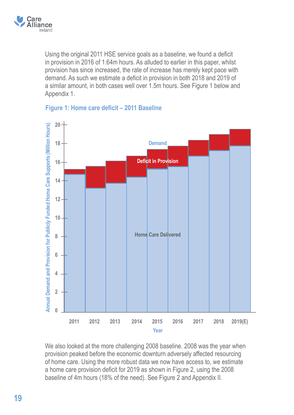

Using the original 2011 HSE service goals as a baseline, we found a deficit in provision in 2016 of 1.64m hours. As alluded to earlier in this paper, whilst provision has since increased, the rate of increase has merely kept pace with demand. As such we estimate a deficit in provision in both 2018 and 2019 of a similar amount, in both cases well over 1.5m hours. See Figure 1 below and Appendix 1.



#### **Figure 1: Home care deficit – 2011 Baseline**

We also looked at the more challenging 2008 baseline. 2008 was the year when provision peaked before the economic downturn adversely affected resourcing of home care. Using the more robust data we now have access to, we estimate a home care provision deficit for 2019 as shown in Figure 2, using the 2008 baseline of 4m hours (18% of the need). See Figure 2 and Appendix II.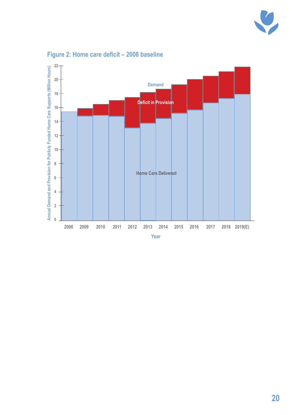



### **Figure 2: Home care deficit – 2008 baseline**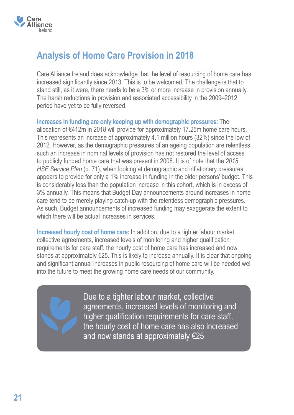

# **Analysis of Home Care Provision in 2018**

Care Alliance Ireland does acknowledge that the level of resourcing of home care has increased significantly since 2013. This is to be welcomed. The challenge is that to stand still, as it were, there needs to be a 3% or more increase in provision annually. The harsh reductions in provision and associated accessibility in the 2009–2012 period have yet to be fully reversed.

**Increases in funding are only keeping up with demographic pressures:** The allocation of €412m in 2018 will provide for approximately 17.25m home care hours. This represents an increase of approximately 4.1 million hours (32%) since the low of 2012. However, as the demographic pressures of an ageing population are relentless, such an increase in nominal levels of provision has not restored the level of access to publicly funded home care that was present in 2008. It is of note that the *2018 HSE Service Plan* (p. 71), when looking at demographic and inflationary pressures, appears to provide for only a 1% increase in funding in the older persons' budget. This is considerably less than the population increase in this cohort, which is in excess of 3% annually. This means that Budget Day announcements around increases in home care tend to be merely playing catch-up with the relentless demographic pressures. As such, Budget announcements of increased funding may exaggerate the extent to which there will be actual increases in services.

**Increased hourly cost of home care:** In addition, due to a tighter labour market, collective agreements, increased levels of monitoring and higher qualification requirements for care staff, the hourly cost of home care has increased and now stands at approximately €25. This is likely to increase annually. It is clear that ongoing and significant annual increases in public resourcing of home care will be needed well into the future to meet the growing home care needs of our community.

Due to a tighter labour market, collective agreements, increased levels of monitoring and higher qualification requirements for care staff, the hourly cost of home care has also increased and now stands at approximately €25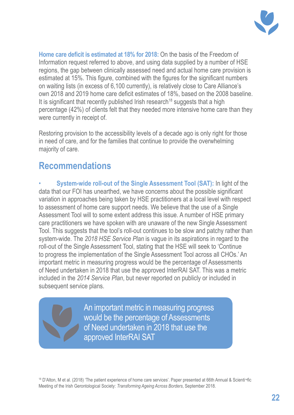

**Home care deficit is estimated at 18% for 2018:** On the basis of the Freedom of Information request referred to above, and using data supplied by a number of HSE regions, the gap between clinically assessed need and actual home care provision is estimated at 15%. This figure, combined with the figures for the significant numbers on waiting lists (in excess of 6,100 currently), is relatively close to Care Alliance's own 2018 and 2019 home care deficit estimates of 18%, based on the 2008 baseline. It is significant that recently published Irish research<sup>18</sup> suggests that a high percentage (42%) of clients felt that they needed more intensive home care than they were currently in receipt of.

Restoring provision to the accessibility levels of a decade ago is only right for those in need of care, and for the families that continue to provide the overwhelming majority of care.

## **Recommendations**

• **System-wide roll-out of the Single Assessment Tool (SAT):** In light of the data that our FOI has unearthed, we have concerns about the possible significant variation in approaches being taken by HSE practitioners at a local level with respect to assessment of home care support needs. We believe that the use of a Single Assessment Tool will to some extent address this issue. A number of HSE primary care practitioners we have spoken with are unaware of the new Single Assessment Tool. This suggests that the tool's roll-out continues to be slow and patchy rather than system-wide. The *2018 HSE Service Plan* is vague in its aspirations in regard to the roll-out of the Single Assessment Tool, stating that the HSE will seek to 'Continue to progress the implementation of the Single Assessment Tool across all CHOs.' An important metric in measuring progress would be the percentage of Assessments of Need undertaken in 2018 that use the approved InterRAI SAT. This was a metric included in the *2014 Service Plan*, but never reported on publicly or included in subsequent service plans.

> An important metric in measuring progress would be the percentage of Assessments of Need undertaken in 2018 that use the approved InterRAI SAT

18 D'Alton, M et al. (2018) 'The patient experience of home care services'. Paper presented at 66th Annual & Scienti¬fic Meeting of the Irish Gerontological Society: *Transforming Ageing Across Borders*, September 2018.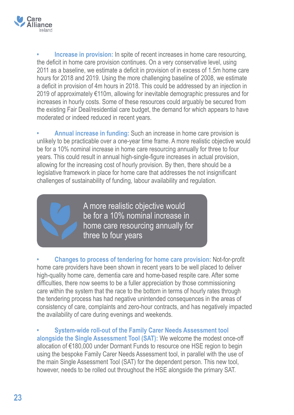

**Increase in provision:** In spite of recent increases in home care resourcing, the deficit in home care provision continues. On a very conservative level, using 2011 as a baseline, we estimate a deficit in provision of in excess of 1.5m home care hours for 2018 and 2019. Using the more challenging baseline of 2008, we estimate a deficit in provision of 4m hours in 2018. This could be addressed by an injection in 2019 of approximately €110m, allowing for inevitable demographic pressures and for increases in hourly costs. Some of these resources could arguably be secured from the existing Fair Deal/residential care budget, the demand for which appears to have moderated or indeed reduced in recent years.

**• Annual increase in funding:** Such an increase in home care provision is unlikely to be practicable over a one-year time frame. A more realistic objective would be for a 10% nominal increase in home care resourcing annually for three to four years. This could result in annual high-single-figure increases in actual provision, allowing for the increasing cost of hourly provision. By then, there should be a legislative framework in place for home care that addresses the not insignificant challenges of sustainability of funding, labour availability and regulation.



A more realistic objective would be for a 10% nominal increase in home care resourcing annually for three to four years

**• Changes to process of tendering for home care provision:** Not-for-profit home care providers have been shown in recent years to be well placed to deliver high-quality home care, dementia care and home-based respite care. After some difficulties, there now seems to be a fuller appreciation by those commissioning care within the system that the race to the bottom in terms of hourly rates through the tendering process has had negative unintended consequences in the areas of consistency of care, complaints and zero-hour contracts, and has negatively impacted the availability of care during evenings and weekends.

**• System-wide roll-out of the Family Carer Needs Assessment tool alongside the Single Assessment Tool (SAT):** We welcome the modest once-off allocation of €180,000 under Dormant Funds to resource one HSE region to begin using the bespoke Family Carer Needs Assessment tool, in parallel with the use of the main Single Assessment Tool (SAT) for the dependent person. This new tool, however, needs to be rolled out throughout the HSE alongside the primary SAT.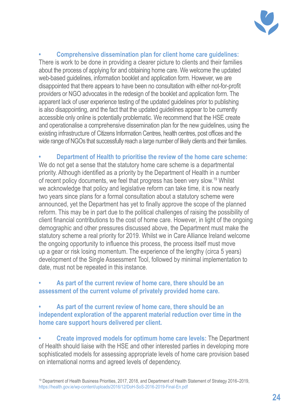

**• Comprehensive dissemination plan for client home care guidelines:** There is work to be done in providing a clearer picture to clients and their families about the process of applying for and obtaining home care. We welcome the updated web-based guidelines, information booklet and application form. However, we are disappointed that there appears to have been no consultation with either not-for-profit providers or NGO advocates in the redesign of the booklet and application form. The apparent lack of user experience testing of the updated guidelines prior to publishing is also disappointing, and the fact that the updated guidelines appear to be currently accessible only online is potentially problematic. We recommend that the HSE create and operationalise a comprehensive dissemination plan for the new guidelines, using the existing infrastructure of Citizens Information Centres, health centres, post offices and the wide range of NGOs that successfully reach a large number of likely clients and their families.

**• Department of Health to prioritise the review of the home care scheme:** We do not get a sense that the statutory home care scheme is a departmental priority. Although identified as a priority by the Department of Health in a number of recent policy documents, we feel that progress has been very slow.<sup>19</sup> Whilst we acknowledge that policy and legislative reform can take time, it is now nearly two years since plans for a formal consultation about a statutory scheme were announced, yet the Department has yet to finally approve the scope of the planned reform. This may be in part due to the political challenges of raising the possibility of client financial contributions to the cost of home care. However, in light of the ongoing demographic and other pressures discussed above, the Department must make the statutory scheme a real priority for 2019. Whilst we in Care Alliance Ireland welcome the ongoing opportunity to influence this process, the process itself must move up a gear or risk losing momentum. The experience of the lengthy (circa 5 years) development of the Single Assessment Tool, followed by minimal implementation to date, must not be repeated in this instance.

#### **• As part of the current review of home care, there should be an assessment of the current volume of privately provided home care.**

**• As part of the current review of home care, there should be an independent exploration of the apparent material reduction over time in the home care support hours delivered per client.**

**• Create improved models for optimum home care levels:** The Department of Health should liaise with the HSE and other interested parties in developing more sophisticated models for assessing appropriate levels of home care provision based on international norms and agreed levels of dependency.

<sup>19</sup> Department of Health Business Priorities, 2017, 2018, and Department of Health Statement of Strategy 2016–2019, https://health.gov.ie/wp-content/uploads/2016/12/DoH-SoS-2016-2019-Final-En.pdf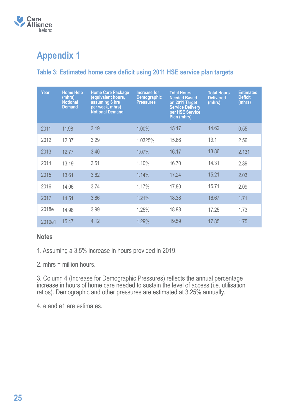

# **Appendix 1**

#### **Table 3: Estimated home care deficit using 2011 HSE service plan targets**

| Year   | <b>Home Help</b><br>(mhrs)<br><b>Notional</b><br><b>Demand</b> | <b>Home Care Package</b><br>(equivalent hours,<br>assuming 6 hrs<br>per week, mhrs)<br><b>Notional Demand</b> | Increase for<br><b>Demographic</b><br><b>Pressures</b> | <b>Total Hours</b><br><b>Needed Based</b><br>on 2011 Target<br><b>Service Delivery</b><br>per HSE Service<br>Plan (mhrs) | <b>Total Hours</b><br><b>Delivered</b><br>(mhrs) | <b>Estimated</b><br><b>Deficit</b><br>(mhrs) |
|--------|----------------------------------------------------------------|---------------------------------------------------------------------------------------------------------------|--------------------------------------------------------|--------------------------------------------------------------------------------------------------------------------------|--------------------------------------------------|----------------------------------------------|
| 2011   | 11.98                                                          | 3.19                                                                                                          | 1.00%                                                  | 15.17                                                                                                                    | 14.62                                            | 0.55                                         |
| 2012   | 12.37                                                          | 3.29                                                                                                          | 1.0325%                                                | 15.66                                                                                                                    | 13.1                                             | 2.56                                         |
| 2013   | 12.77                                                          | 3.40                                                                                                          | 1.07%                                                  | 16.17                                                                                                                    | 13.86                                            | 2.131                                        |
| 2014   | 13.19                                                          | 3.51                                                                                                          | 1.10%                                                  | 16.70                                                                                                                    | 14.31                                            | 2.39                                         |
| 2015   | 13.61                                                          | 3.62                                                                                                          | 1.14%                                                  | 17.24                                                                                                                    | 15.21                                            | 2.03                                         |
| 2016   | 14.06                                                          | 3.74                                                                                                          | 1.17%                                                  | 17.80                                                                                                                    | 15.71                                            | 2.09                                         |
| 2017   | 14.51                                                          | 3.86                                                                                                          | 1.21%                                                  | 18.38                                                                                                                    | 16.67                                            | 1.71                                         |
| 2018e  | 14.98                                                          | 3.99                                                                                                          | 1.25%                                                  | 18.98                                                                                                                    | 17.25                                            | 1.73                                         |
| 2019e1 | 15.47                                                          | 4.12                                                                                                          | 1.29%                                                  | 19.59                                                                                                                    | 17.85                                            | 1.75                                         |

#### **Notes**

1. Assuming a 3.5% increase in hours provided in 2019.

2. mhrs = million hours.

3. Column 4 (Increase for Demographic Pressures) reflects the annual percentage increase in hours of home care needed to sustain the level of access (i.e. utilisation ratios). Demographic and other pressures are estimated at 3.25% annually.

4. e and e1 are estimates.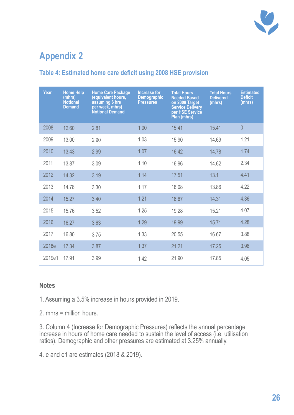

# **Appendix 2**

### **Table 4: Estimated home care deficit using 2008 HSE provision**

| Year   | <b>Home Help</b><br>(mhrs)<br><b>Notional</b><br><b>Demand</b> | <b>Home Care Package</b><br>(equivalent hours,<br>assuming 6 hrs<br>per week, mhrs)<br><b>Notional Demand</b> | <b>Increase for</b><br><b>Demographic</b><br><b>Pressures</b> | <b>Total Hours</b><br><b>Needed Based</b><br>on 2008 Target<br><b>Service Delivery</b><br>per HSE Service<br>Plan (mhrs) | <b>Total Hours</b><br><b>Delivered</b><br>(mhrs) | <b>Estimated</b><br><b>Deficit</b><br>(mhrs) |
|--------|----------------------------------------------------------------|---------------------------------------------------------------------------------------------------------------|---------------------------------------------------------------|--------------------------------------------------------------------------------------------------------------------------|--------------------------------------------------|----------------------------------------------|
| 2008   | 12.60                                                          | 2.81                                                                                                          | 1.00                                                          | 15.41                                                                                                                    | 15.41                                            | $\theta$                                     |
| 2009   | 13.00                                                          | 2.90                                                                                                          | 1.03                                                          | 15.90                                                                                                                    | 14.69                                            | 1.21                                         |
| 2010   | 13.43                                                          | 2.99                                                                                                          | 1.07                                                          | 16.42                                                                                                                    | 14.78                                            | 1.74                                         |
| 2011   | 13.87                                                          | 3.09                                                                                                          | 1.10                                                          | 16.96                                                                                                                    | 14.62                                            | 2.34                                         |
| 2012   | 14.32                                                          | 3.19                                                                                                          | 1.14                                                          | 17.51                                                                                                                    | 13.1                                             | 4.41                                         |
| 2013   | 14.78                                                          | 3.30                                                                                                          | 1.17                                                          | 18.08                                                                                                                    | 13.86                                            | 4.22                                         |
| 2014   | 15.27                                                          | 3.40                                                                                                          | 1.21                                                          | 18.67                                                                                                                    | 14.31                                            | 4.36                                         |
| 2015   | 15.76                                                          | 3.52                                                                                                          | 1.25                                                          | 19.28                                                                                                                    | 15.21                                            | 4.07                                         |
| 2016   | 16.27                                                          | 3.63                                                                                                          | 1.29                                                          | 19.99                                                                                                                    | 15.71                                            | 4.28                                         |
| 2017   | 16.80                                                          | 3.75                                                                                                          | 1.33                                                          | 20.55                                                                                                                    | 16.67                                            | 3.88                                         |
| 2018e  | 17.34                                                          | 3.87                                                                                                          | 1.37                                                          | 21.21                                                                                                                    | 17.25                                            | 3.96                                         |
| 2019e1 | 17.91                                                          | 3.99                                                                                                          | 1.42                                                          | 21.90                                                                                                                    | 17.85                                            | 4.05                                         |

#### **Notes**

1. Assuming a 3.5% increase in hours provided in 2019.

2. mhrs = million hours.

3. Column 4 (Increase for Demographic Pressures) reflects the annual percentage increase in hours of home care needed to sustain the level of access (i.e. utilisation ratios). Demographic and other pressures are estimated at 3.25% annually.

4. e and e1 are estimates (2018 & 2019).